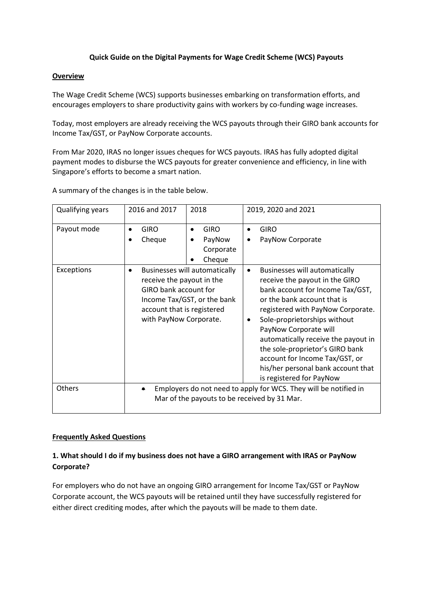### **Quick Guide on the Digital Payments for Wage Credit Scheme (WCS) Payouts**

#### **Overview**

The Wage Credit Scheme (WCS) supports businesses embarking on transformation efforts, and encourages employers to share productivity gains with workers by co-funding wage increases.

Today, most employers are already receiving the WCS payouts through their GIRO bank accounts for Income Tax/GST, or PayNow Corporate accounts.

From Mar 2020, IRAS no longer issues cheques for WCS payouts. IRAS has fully adopted digital payment modes to disburse the WCS payouts for greater convenience and efficiency, in line with Singapore's efforts to become a smart nation.

A summary of the changes is in the table below.

| Qualifying years | 2016 and 2017                                                                                                         | 2018                                                                | 2019, 2020 and 2021                                                                                                                                                                                                                                                                                                                                                                                                   |
|------------------|-----------------------------------------------------------------------------------------------------------------------|---------------------------------------------------------------------|-----------------------------------------------------------------------------------------------------------------------------------------------------------------------------------------------------------------------------------------------------------------------------------------------------------------------------------------------------------------------------------------------------------------------|
| Payout mode      | <b>GIRO</b><br>Cheque                                                                                                 | <b>GIRO</b><br>$\bullet$<br>PayNow<br>Corporate<br>Cheque           | <b>GIRO</b><br>PayNow Corporate                                                                                                                                                                                                                                                                                                                                                                                       |
| Exceptions       | receive the payout in the<br>GIRO bank account for<br>account that is registered<br>with PayNow Corporate.            | <b>Businesses will automatically</b><br>Income Tax/GST, or the bank | <b>Businesses will automatically</b><br>receive the payout in the GIRO<br>bank account for Income Tax/GST,<br>or the bank account that is<br>registered with PayNow Corporate.<br>Sole-proprietorships without<br>PayNow Corporate will<br>automatically receive the payout in<br>the sole-proprietor's GIRO bank<br>account for Income Tax/GST, or<br>his/her personal bank account that<br>is registered for PayNow |
| Others           | Employers do not need to apply for WCS. They will be notified in<br>٠<br>Mar of the payouts to be received by 31 Mar. |                                                                     |                                                                                                                                                                                                                                                                                                                                                                                                                       |

### **Frequently Asked Questions**

## **1. What should I do if my business does not have a GIRO arrangement with IRAS or PayNow Corporate?**

For employers who do not have an ongoing GIRO arrangement for Income Tax/GST or PayNow Corporate account, the WCS payouts will be retained until they have successfully registered for either direct crediting modes, after which the payouts will be made to them date.